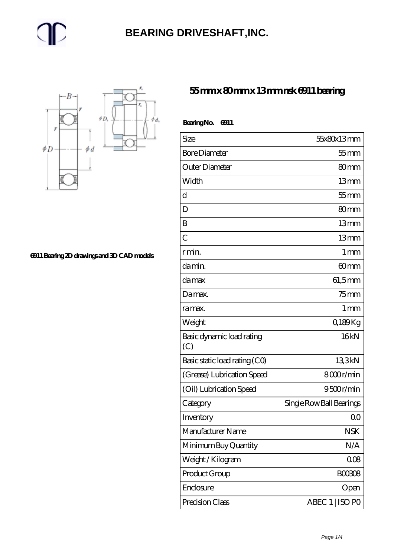#### **[BEARING DRIVESHAFT,INC.](https://trendco-vick.com)**



**[6911 Bearing 2D drawings and 3D CAD models](https://trendco-vick.com/pic-412306.html)**

#### **[55 mm x 80 mm x 13 mm nsk 6911 bearing](https://trendco-vick.com/nsk-6911-bearing/)**

| BearingNo.<br>6911               |                          |  |
|----------------------------------|--------------------------|--|
| Size                             | 55x80x13mm               |  |
| <b>Bore Diameter</b>             | $55$ mm                  |  |
| Outer Diameter                   | 80mm                     |  |
| Width                            | 13mm                     |  |
| d                                | $55$ mm                  |  |
| D                                | 80 <sub>mm</sub>         |  |
| B                                | 13mm                     |  |
| $\overline{C}$                   | 13mm                     |  |
| r min.                           | 1 <sub>mm</sub>          |  |
| da min.                          | 60 <sub>mm</sub>         |  |
| damax                            | $61,5$ mm                |  |
| Damax.                           | $75$ mm                  |  |
| ra max.                          | 1 <sub>mm</sub>          |  |
| Weight                           | Q189Kg                   |  |
| Basic dynamic load rating<br>(C) | 16kN                     |  |
| Basic static load rating (CO)    | 133kN                    |  |
| (Grease) Lubrication Speed       | 8000r/min                |  |
| (Oil) Lubrication Speed          | 9500r/min                |  |
| Category                         | Single Row Ball Bearings |  |
| Inventory                        | $\overline{O}O$          |  |
| Manufacturer Name                | <b>NSK</b>               |  |
| Minimum Buy Quantity             | N/A                      |  |
| Weight/Kilogram                  | 008                      |  |
| Product Group                    | <b>BOO3O8</b>            |  |
| Enclosure                        | Open                     |  |
| Precision Class                  | ABEC 1   ISO PO          |  |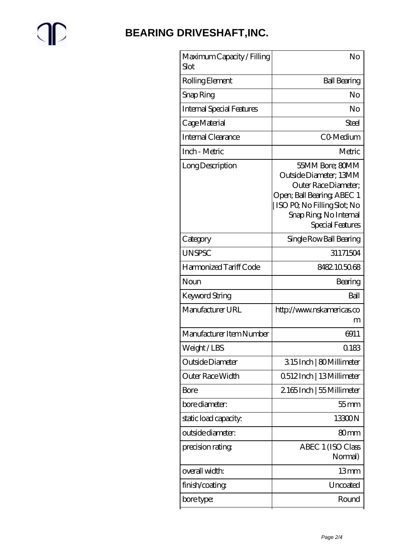# $\mathbb{P}$

## **[BEARING DRIVESHAFT,INC.](https://trendco-vick.com)**

| Maximum Capacity / Filling<br>Slot | No                                                                                                                                                                           |
|------------------------------------|------------------------------------------------------------------------------------------------------------------------------------------------------------------------------|
| Rolling Element                    | <b>Ball Bearing</b>                                                                                                                                                          |
| Snap Ring                          | No                                                                                                                                                                           |
| <b>Internal Special Features</b>   | No                                                                                                                                                                           |
| Cage Material                      | Steel                                                                                                                                                                        |
| <b>Internal Clearance</b>          | CO-Medium                                                                                                                                                                    |
| Inch - Metric                      | Metric                                                                                                                                                                       |
| Long Description                   | 55MM Bore; 80MM<br>Outside Diameter; 13MM<br>Outer Race Diameter;<br>Open; Ball Bearing, ABEC 1<br>ISO PO, No Filling Slot; No<br>Snap Ring, No Internal<br>Special Features |
| Category                           | Single Row Ball Bearing                                                                                                                                                      |
| <b>UNSPSC</b>                      | 31171504                                                                                                                                                                     |
| Harmonized Tariff Code             | 8482105068                                                                                                                                                                   |
| Noun                               | Bearing                                                                                                                                                                      |
| Keyword String                     | Ball                                                                                                                                                                         |
| Manufacturer URL                   | http://www.nskamericas.co<br>m                                                                                                                                               |
| Manufacturer Item Number           | 6911                                                                                                                                                                         |
| Weight / LBS                       | 0.183                                                                                                                                                                        |
| Outside Diameter                   | 315Inch   80Millimeter                                                                                                                                                       |
| Outer Race Width                   | 0512Inch   13Millimeter                                                                                                                                                      |
| Bore                               | 2165Inch   55 Millimeter                                                                                                                                                     |
| bore diameter:                     | $55$ mm                                                                                                                                                                      |
| static load capacity:              | 13300N                                                                                                                                                                       |
| outside diameter:                  | 80 <sub>mm</sub>                                                                                                                                                             |
| precision rating                   | ABEC 1 (ISO Class<br>Normal)                                                                                                                                                 |
| overall width:                     | 13mm                                                                                                                                                                         |
| finish/coating                     | Uncoated                                                                                                                                                                     |
| bore type:                         | Round                                                                                                                                                                        |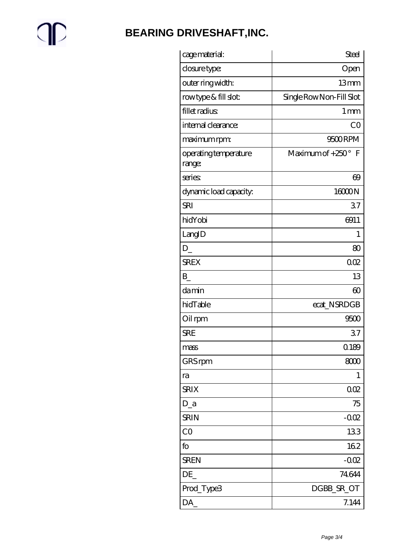$\mathbb{P}$ 

## **BEARING DRIVESHAFT, INC.**

| cage material:                  | <b>Steel</b>              |
|---------------------------------|---------------------------|
| closure type:                   | Open                      |
| outer ring width:               | 13mm                      |
| rowtype & fill slot:            | Single Row Non-Fill Slot  |
| fillet radius                   | 1 <sub>mm</sub>           |
| internal clearance:             | CO                        |
| maximum rpm:                    | 9500RPM                   |
| operating temperature<br>range: | Maximum of $+250^\circ$ F |
| series                          | $\Theta$                  |
| dynamic load capacity.          | 16000N                    |
| <b>SRI</b>                      | 37                        |
| hidYobi                         | 6911                      |
| LangID                          | 1                         |
| D                               | 80                        |
| <b>SREX</b>                     | 002                       |
| $\mathbf{B}$                    | 13                        |
| damin                           | $\infty$                  |
| hidTable                        | ecat_NSRDGB               |
| Oil rpm                         | 9500                      |
| <b>SRE</b>                      | 37                        |
| mass                            | 0.189                     |
| GRS rpm                         | 8000                      |
| ra                              | 1                         |
| <b>SRIX</b>                     | 002                       |
| $D_a$                           | 75                        |
| <b>SRIN</b>                     | $-0.02$                   |
| CO                              | 133                       |
| fo                              | 162                       |
| <b>SREN</b>                     | $-0.02$                   |
| DE                              | 74644                     |
| Prod_Type3                      | DGBB_SR_OT                |
| DA                              | 7.144                     |